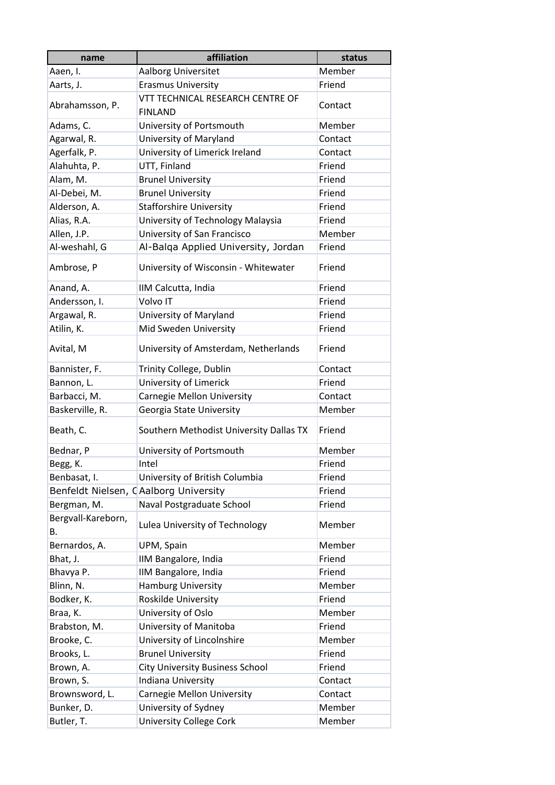| name                     | affiliation                             | status  |
|--------------------------|-----------------------------------------|---------|
| Aaen, I.                 | Aalborg Universitet                     | Member  |
| Aarts, J.                | <b>Erasmus University</b>               | Friend  |
|                          | VTT TECHNICAL RESEARCH CENTRE OF        |         |
| Abrahamsson, P.          | <b>FINLAND</b>                          | Contact |
| Adams, C.                | University of Portsmouth                | Member  |
| Agarwal, R.              | University of Maryland                  | Contact |
| Agerfalk, P.             | University of Limerick Ireland          | Contact |
| Alahuhta, P.             | UTT, Finland                            | Friend  |
| Alam, M.                 | <b>Brunel University</b>                | Friend  |
| Al-Debei, M.             | <b>Brunel University</b>                | Friend  |
| Alderson, A.             | <b>Stafforshire University</b>          | Friend  |
| Alias, R.A.              | University of Technology Malaysia       | Friend  |
| Allen, J.P.              | University of San Francisco             | Member  |
| Al-weshahl, G            | Al-Balqa Applied University, Jordan     | Friend  |
| Ambrose, P               | University of Wisconsin - Whitewater    | Friend  |
| Anand, A.                | IIM Calcutta, India                     | Friend  |
| Andersson, I.            | Volvo IT                                | Friend  |
| Argawal, R.              | University of Maryland                  | Friend  |
| Atilin, K.               | Mid Sweden University                   | Friend  |
| Avital, M                | University of Amsterdam, Netherlands    | Friend  |
| Bannister, F.            | Trinity College, Dublin                 | Contact |
| Bannon, L.               | University of Limerick                  | Friend  |
| Barbacci, M.             | Carnegie Mellon University              | Contact |
| Baskerville, R.          | Georgia State University                | Member  |
| Beath, C.                | Southern Methodist University Dallas TX | Friend  |
| Bednar, P                | University of Portsmouth                | Member  |
| Begg, K.                 | Intel                                   | Friend  |
| Benbasat, I.             | University of British Columbia          | Friend  |
|                          | Benfeldt Nielsen, CAalborg University   | Friend  |
| Bergman, M.              | Naval Postgraduate School               | Friend  |
| Bergvall-Kareborn,<br>В. | Lulea University of Technology          | Member  |
| Bernardos, A.            | UPM, Spain                              | Member  |
| Bhat, J.                 | IIM Bangalore, India                    | Friend  |
| Bhavya P.                | IIM Bangalore, India                    | Friend  |
| Blinn, N.                | <b>Hamburg University</b>               | Member  |
| Bodker, K.               | Roskilde University                     | Friend  |
| Braa, K.                 | University of Oslo                      | Member  |
| Brabston, M.             | University of Manitoba                  | Friend  |
| Brooke, C.               | University of Lincolnshire              | Member  |
| Brooks, L.               | <b>Brunel University</b>                | Friend  |
| Brown, A.                | <b>City University Business School</b>  | Friend  |
| Brown, S.                | Indiana University                      | Contact |
| Brownsword, L.           | Carnegie Mellon University              | Contact |
| Bunker, D.               | University of Sydney                    | Member  |
| Butler, T.               | University College Cork                 | Member  |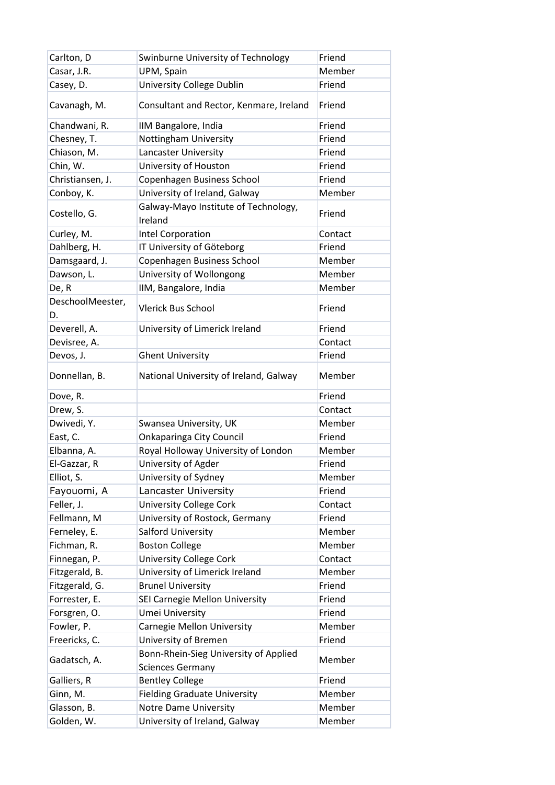| Carlton, D             | Swinburne University of Technology                               | Friend  |
|------------------------|------------------------------------------------------------------|---------|
| Casar, J.R.            | UPM, Spain                                                       | Member  |
| Casey, D.              | University College Dublin                                        | Friend  |
| Cavanagh, M.           | Consultant and Rector, Kenmare, Ireland                          | Friend  |
| Chandwani, R.          | IIM Bangalore, India                                             | Friend  |
| Chesney, T.            | Nottingham University                                            | Friend  |
| Chiason, M.            | Lancaster University                                             | Friend  |
| Chin, W.               | University of Houston                                            | Friend  |
| Christiansen, J.       | Copenhagen Business School                                       | Friend  |
| Conboy, K.             | University of Ireland, Galway                                    | Member  |
| Costello, G.           | Galway-Mayo Institute of Technology,<br>Ireland                  | Friend  |
| Curley, M.             | Intel Corporation                                                | Contact |
| Dahlberg, H.           | IT University of Göteborg                                        | Friend  |
| Damsgaard, J.          | Copenhagen Business School                                       | Member  |
| Dawson, L.             | University of Wollongong                                         | Member  |
| De, R                  | IIM, Bangalore, India                                            | Member  |
| DeschoolMeester,<br>D. | <b>Vlerick Bus School</b>                                        | Friend  |
| Deverell, A.           | University of Limerick Ireland                                   | Friend  |
| Devisree, A.           |                                                                  | Contact |
| Devos, J.              | <b>Ghent University</b>                                          | Friend  |
| Donnellan, B.          | National University of Ireland, Galway                           | Member  |
| Dove, R.               |                                                                  | Friend  |
| Drew, S.               |                                                                  | Contact |
| Dwivedi, Y.            | Swansea University, UK                                           | Member  |
| East, C.               | <b>Onkaparinga City Council</b>                                  | Friend  |
| Elbanna, A.            | Royal Holloway University of London                              | Member  |
| El-Gazzar, R           | University of Agder                                              | Friend  |
| Elliot, S.             | University of Sydney                                             | Member  |
| Fayouomi, A            | Lancaster University                                             | Friend  |
| Feller, J.             | <b>University College Cork</b>                                   | Contact |
| Fellmann, M            | University of Rostock, Germany                                   | Friend  |
| Ferneley, E.           | Salford University                                               | Member  |
| Fichman, R.            | <b>Boston College</b>                                            | Member  |
| Finnegan, P.           | <b>University College Cork</b>                                   | Contact |
| Fitzgerald, B.         | University of Limerick Ireland                                   | Member  |
| Fitzgerald, G.         | <b>Brunel University</b>                                         | Friend  |
| Forrester, E.          | SEI Carnegie Mellon University                                   | Friend  |
| Forsgren, O.           | Umei University                                                  | Friend  |
| Fowler, P.             | <b>Carnegie Mellon University</b>                                | Member  |
| Freericks, C.          | University of Bremen                                             | Friend  |
| Gadatsch, A.           | Bonn-Rhein-Sieg University of Applied<br><b>Sciences Germany</b> | Member  |
| Galliers, R            | <b>Bentley College</b>                                           | Friend  |
| Ginn, M.               | <b>Fielding Graduate University</b>                              | Member  |
| Glasson, B.            | <b>Notre Dame University</b>                                     | Member  |
| Golden, W.             | University of Ireland, Galway                                    | Member  |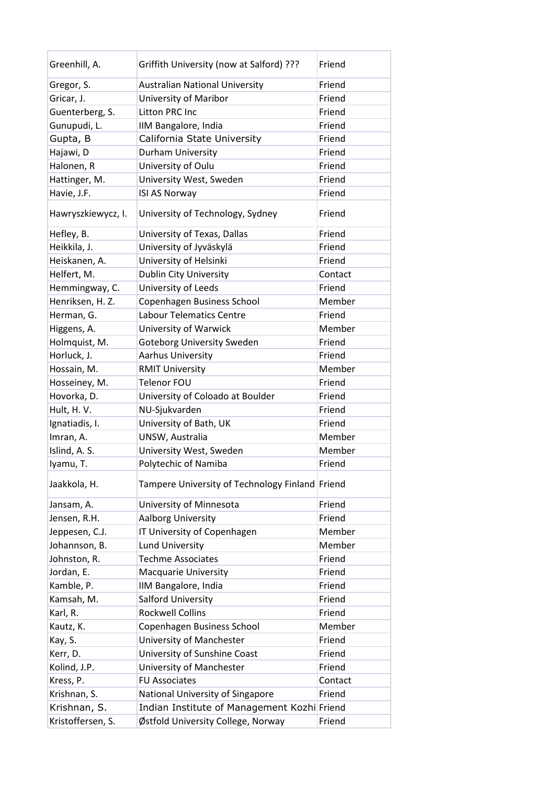| Greenhill, A.      | Griffith University (now at Salford) ???        | Friend  |
|--------------------|-------------------------------------------------|---------|
| Gregor, S.         | <b>Australian National University</b>           | Friend  |
| Gricar, J.         | University of Maribor                           | Friend  |
| Guenterberg, S.    | Litton PRC Inc                                  | Friend  |
| Gunupudi, L.       | IIM Bangalore, India                            | Friend  |
| Gupta, B           | California State University                     | Friend  |
| Hajawi, D          | Durham University                               | Friend  |
| Halonen, R         | University of Oulu                              | Friend  |
| Hattinger, M.      | University West, Sweden                         | Friend  |
| Havie, J.F.        | <b>ISI AS Norway</b>                            | Friend  |
| Hawryszkiewycz, I. | University of Technology, Sydney                | Friend  |
| Hefley, B.         | University of Texas, Dallas                     | Friend  |
| Heikkila, J.       | University of Jyväskylä                         | Friend  |
| Heiskanen, A.      | University of Helsinki                          | Friend  |
| Helfert, M.        | Dublin City University                          | Contact |
| Hemmingway, C.     | University of Leeds                             | Friend  |
| Henriksen, H. Z.   | Copenhagen Business School                      | Member  |
| Herman, G.         | <b>Labour Telematics Centre</b>                 | Friend  |
| Higgens, A.        | University of Warwick                           | Member  |
| Holmquist, M.      | <b>Goteborg University Sweden</b>               | Friend  |
| Horluck, J.        | Aarhus University                               | Friend  |
| Hossain, M.        | <b>RMIT University</b>                          | Member  |
| Hosseiney, M.      | Telenor FOU                                     | Friend  |
| Hovorka, D.        | University of Coloado at Boulder                | Friend  |
| Hult, H. V.        | NU-Sjukvarden                                   | Friend  |
| Ignatiadis, I.     | University of Bath, UK                          | Friend  |
| Imran, A.          | UNSW, Australia                                 | Member  |
| Islind, A. S.      | University West, Sweden                         | Member  |
| Iyamu, T.          | Polytechic of Namiba                            | Friend  |
| Jaakkola, H.       | Tampere University of Technology Finland Friend |         |
| Jansam, A.         | University of Minnesota                         | Friend  |
| Jensen, R.H.       | Aalborg University                              | Friend  |
| Jeppesen, C.J.     | IT University of Copenhagen                     | Member  |
| Johannson, B.      | Lund University                                 | Member  |
| Johnston, R.       | <b>Techme Associates</b>                        | Friend  |
| Jordan, E.         | <b>Macquarie University</b>                     | Friend  |
| Kamble, P.         | IIM Bangalore, India                            | Friend  |
| Kamsah, M.         | Salford University                              | Friend  |
| Karl, R.           | <b>Rockwell Collins</b>                         | Friend  |
| Kautz, K.          | Copenhagen Business School                      | Member  |
| Kay, S.            | University of Manchester                        | Friend  |
| Kerr, D.           | University of Sunshine Coast                    | Friend  |
|                    | University of Manchester                        | Friend  |
| Kolind, J.P.       | <b>FU Associates</b>                            |         |
| Kress, P.          |                                                 | Contact |
| Krishnan, S.       | National University of Singapore                | Friend  |
| Krishnan, S.       | Indian Institute of Management Kozhi Friend     |         |
| Kristoffersen, S.  | Østfold University College, Norway              | Friend  |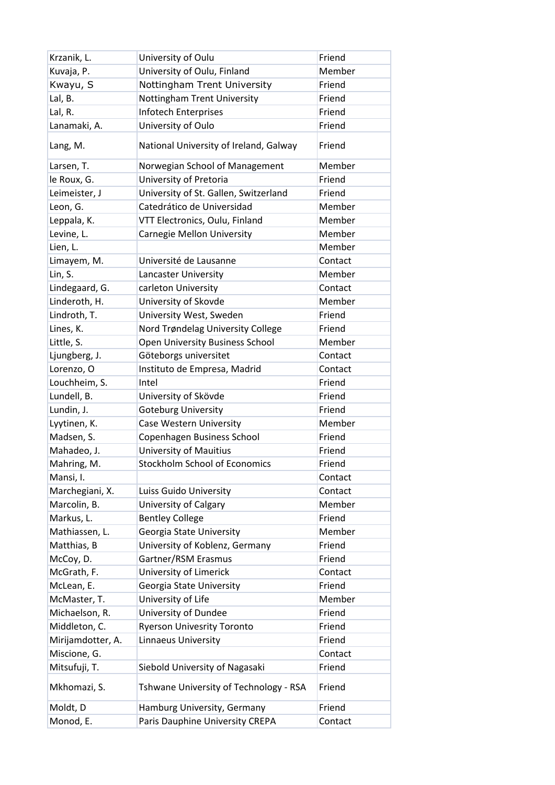| Krzanik, L.       | University of Oulu                     | Friend  |
|-------------------|----------------------------------------|---------|
| Kuvaja, P.        | University of Oulu, Finland            | Member  |
| Kwayu, S          | Nottingham Trent University            | Friend  |
| Lal, B.           | Nottingham Trent University            | Friend  |
| Lal, R.           | <b>Infotech Enterprises</b>            | Friend  |
| Lanamaki, A.      | University of Oulo                     | Friend  |
| Lang, M.          | National University of Ireland, Galway | Friend  |
| Larsen, T.        | Norwegian School of Management         | Member  |
| le Roux, G.       | University of Pretoria                 | Friend  |
| Leimeister, J     | University of St. Gallen, Switzerland  | Friend  |
| Leon, G.          | Catedrático de Universidad             | Member  |
| Leppala, K.       | VTT Electronics, Oulu, Finland         | Member  |
| Levine, L.        | Carnegie Mellon University             | Member  |
| Lien, L.          |                                        | Member  |
| Limayem, M.       | Université de Lausanne                 | Contact |
| Lin, S.           | Lancaster University                   | Member  |
| Lindegaard, G.    | carleton University                    | Contact |
| Linderoth, H.     | University of Skovde                   | Member  |
| Lindroth, T.      | University West, Sweden                | Friend  |
| Lines, K.         | Nord Trøndelag University College      | Friend  |
| Little, S.        | Open University Business School        | Member  |
| Ljungberg, J.     | Göteborgs universitet                  | Contact |
| Lorenzo, O        | Instituto de Empresa, Madrid           | Contact |
| Louchheim, S.     | Intel                                  | Friend  |
| Lundell, B.       | University of Skövde                   | Friend  |
| Lundin, J.        | Goteburg University                    | Friend  |
| Lyytinen, K.      | Case Western University                | Member  |
| Madsen, S.        | Copenhagen Business School             | Friend  |
| Mahadeo, J.       | <b>University of Mauitius</b>          | Friend  |
| Mahring, M.       | <b>Stockholm School of Economics</b>   | Friend  |
| Mansi, I.         |                                        | Contact |
| Marchegiani, X.   | Luiss Guido University                 | Contact |
| Marcolin, B.      | University of Calgary                  | Member  |
| Markus, L.        | <b>Bentley College</b>                 | Friend  |
| Mathiassen, L.    | Georgia State University               | Member  |
| Matthias, B       | University of Koblenz, Germany         | Friend  |
| McCoy, D.         | Gartner/RSM Erasmus                    | Friend  |
| McGrath, F.       | University of Limerick                 | Contact |
| McLean, E.        | Georgia State University               | Friend  |
| McMaster, T.      | University of Life                     | Member  |
| Michaelson, R.    | University of Dundee                   | Friend  |
| Middleton, C.     | <b>Ryerson Univesrity Toronto</b>      | Friend  |
| Mirijamdotter, A. | Linnaeus University                    | Friend  |
| Miscione, G.      |                                        | Contact |
| Mitsufuji, T.     | Siebold University of Nagasaki         | Friend  |
| Mkhomazi, S.      | Tshwane University of Technology - RSA | Friend  |
| Moldt, D          | Hamburg University, Germany            | Friend  |
| Monod, E.         | Paris Dauphine University CREPA        | Contact |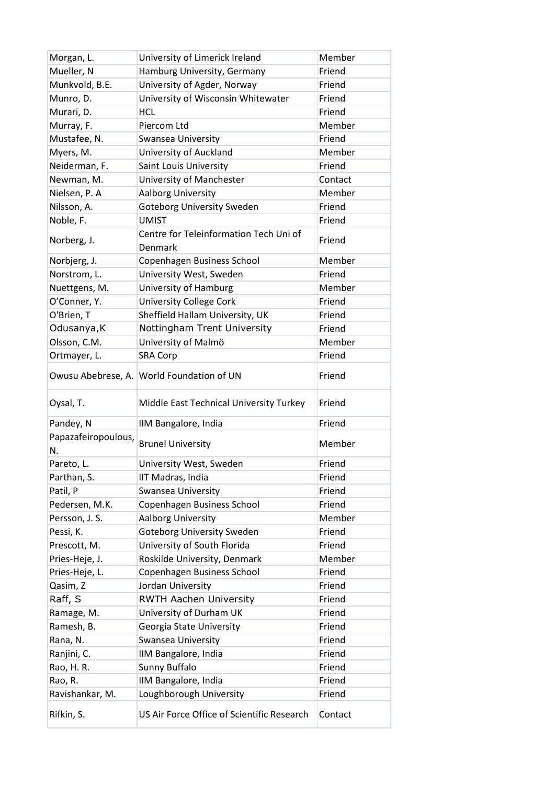| Morgan, L.          | University of Limerick Ireland                    | Member  |
|---------------------|---------------------------------------------------|---------|
| Mueller, N          | Hamburg University, Germany                       | Friend  |
| Munkvold, B.E.      | University of Agder, Norway                       | Friend  |
| Munro, D.           | University of Wisconsin Whitewater                | Friend  |
| Murari, D.          | <b>HCL</b>                                        | Friend  |
| Murray, F.          | Piercom Ltd                                       | Member  |
| Mustafee, N.        | Swansea University                                | Friend  |
| Myers, M.           | University of Auckland                            | Member  |
| Neiderman, F.       | Saint Louis University                            | Friend  |
| Newman, M.          | University of Manchester                          | Contact |
| Nielsen, P. A       | Aalborg University                                | Member  |
| Nilsson, A.         | <b>Goteborg University Sweden</b>                 | Friend  |
| Noble, F.           | <b>UMIST</b>                                      | Friend  |
| Norberg, J.         | Centre for Teleinformation Tech Uni of<br>Denmark | Friend  |
| Norbjerg, J.        | Copenhagen Business School                        | Member  |
| Norstrom, L.        | University West, Sweden                           | Friend  |
| Nuettgens, M.       | University of Hamburg                             | Member  |
| O'Conner, Y.        | <b>University College Cork</b>                    | Friend  |
| O'Brien, T          | Sheffield Hallam University, UK                   | Friend  |
| Odusanya, K         | Nottingham Trent University                       | Friend  |
| Olsson, C.M.        | University of Malmö                               | Member  |
| Ortmayer, L.        | <b>SRA Corp</b>                                   | Friend  |
|                     | Owusu Abebrese, A. World Foundation of UN         | Friend  |
|                     |                                                   |         |
| Oysal, T.           | Middle East Technical University Turkey           | Friend  |
| Pandey, N           | IIM Bangalore, India                              | Friend  |
| Papazafeiropoulous, | <b>Brunel University</b>                          | Member  |
| N.                  |                                                   |         |
| Pareto, L.          | University West, Sweden                           | Friend  |
| Parthan, S.         | IIT Madras, India                                 | Friend  |
| Patil, P            | <b>Swansea University</b>                         | Friend  |
| Pedersen, M.K.      | Copenhagen Business School                        | Friend  |
| Persson, J. S.      | <b>Aalborg University</b>                         | Member  |
| Pessi, K.           | <b>Goteborg University Sweden</b>                 | Friend  |
| Prescott, M.        | University of South Florida                       | Friend  |
| Pries-Heje, J.      | Roskilde University, Denmark                      | Member  |
| Pries-Heje, L.      | Copenhagen Business School                        | Friend  |
| Qasim, Z            | Jordan University                                 | Friend  |
| Raff, S             | <b>RWTH Aachen University</b>                     | Friend  |
| Ramage, M.          | University of Durham UK                           | Friend  |
| Ramesh, B.          | Georgia State University                          | Friend  |
| Rana, N.            | Swansea University                                | Friend  |
| Ranjini, C.         | IIM Bangalore, India                              | Friend  |
| Rao, H. R.          | Sunny Buffalo                                     | Friend  |
| Rao, R.             | IIM Bangalore, India                              | Friend  |
| Ravishankar, M.     | Loughborough University                           | Friend  |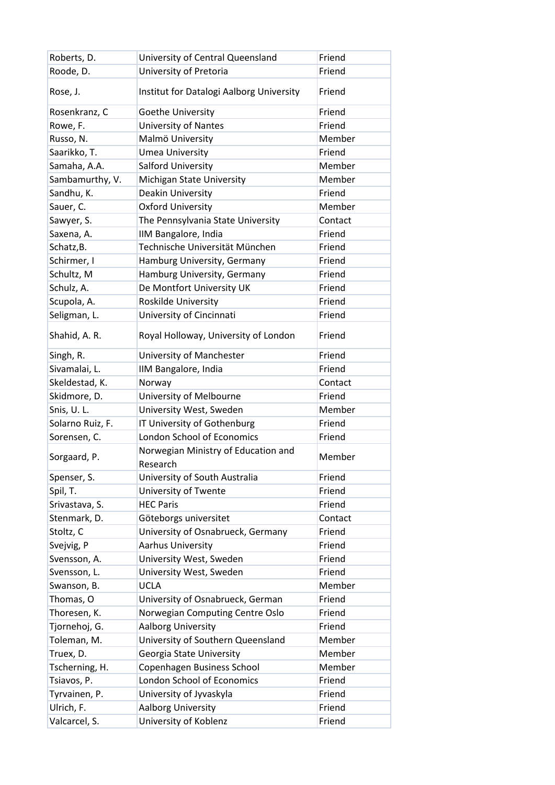| Roberts, D.      | University of Central Queensland                | Friend  |
|------------------|-------------------------------------------------|---------|
| Roode, D.        | University of Pretoria                          | Friend  |
| Rose, J.         | Institut for Datalogi Aalborg University        | Friend  |
| Rosenkranz, C    | Goethe University                               | Friend  |
| Rowe, F.         | <b>University of Nantes</b>                     | Friend  |
| Russo, N.        | Malmö University                                | Member  |
| Saarikko, T.     | <b>Umea University</b>                          | Friend  |
| Samaha, A.A.     | Salford University                              | Member  |
| Sambamurthy, V.  | Michigan State University                       | Member  |
| Sandhu, K.       | Deakin University                               | Friend  |
| Sauer, C.        | <b>Oxford University</b>                        | Member  |
| Sawyer, S.       | The Pennsylvania State University               | Contact |
| Saxena, A.       | IIM Bangalore, India                            | Friend  |
| Schatz, B.       | Technische Universität München                  | Friend  |
| Schirmer, I      | Hamburg University, Germany                     | Friend  |
| Schultz, M       | Hamburg University, Germany                     | Friend  |
| Schulz, A.       | De Montfort University UK                       | Friend  |
| Scupola, A.      | Roskilde University                             | Friend  |
| Seligman, L.     | University of Cincinnati                        | Friend  |
| Shahid, A. R.    | Royal Holloway, University of London            | Friend  |
| Singh, R.        | University of Manchester                        | Friend  |
| Sivamalai, L.    | IIM Bangalore, India                            | Friend  |
| Skeldestad, K.   | Norway                                          | Contact |
| Skidmore, D.     | University of Melbourne                         | Friend  |
| Snis, U.L.       | University West, Sweden                         | Member  |
| Solarno Ruiz, F. | IT University of Gothenburg                     | Friend  |
| Sorensen, C.     | London School of Economics                      | Friend  |
| Sorgaard, P.     | Norwegian Ministry of Education and<br>Research | Member  |
|                  |                                                 |         |
| Spenser, S.      | University of South Australia                   | Friend  |
| Spil, T.         | University of Twente                            | Friend  |
| Srivastava, S.   | <b>HEC Paris</b>                                | Friend  |
| Stenmark, D.     | Göteborgs universitet                           | Contact |
| Stoltz, C        | University of Osnabrueck, Germany               | Friend  |
| Svejvig, P       | Aarhus University                               | Friend  |
| Svensson, A.     | University West, Sweden                         | Friend  |
| Svensson, L.     | University West, Sweden                         | Friend  |
| Swanson, B.      | <b>UCLA</b>                                     | Member  |
| Thomas, O        | University of Osnabrueck, German                | Friend  |
| Thoresen, K.     | Norwegian Computing Centre Oslo                 | Friend  |
| Tjornehoj, G.    | Aalborg University                              | Friend  |
| Toleman, M.      | University of Southern Queensland               | Member  |
| Truex, D.        | Georgia State University                        | Member  |
| Tscherning, H.   | Copenhagen Business School                      | Member  |
| Tsiavos, P.      | London School of Economics                      | Friend  |
| Tyrvainen, P.    | University of Jyvaskyla                         | Friend  |
| Ulrich, F.       | Aalborg University                              | Friend  |